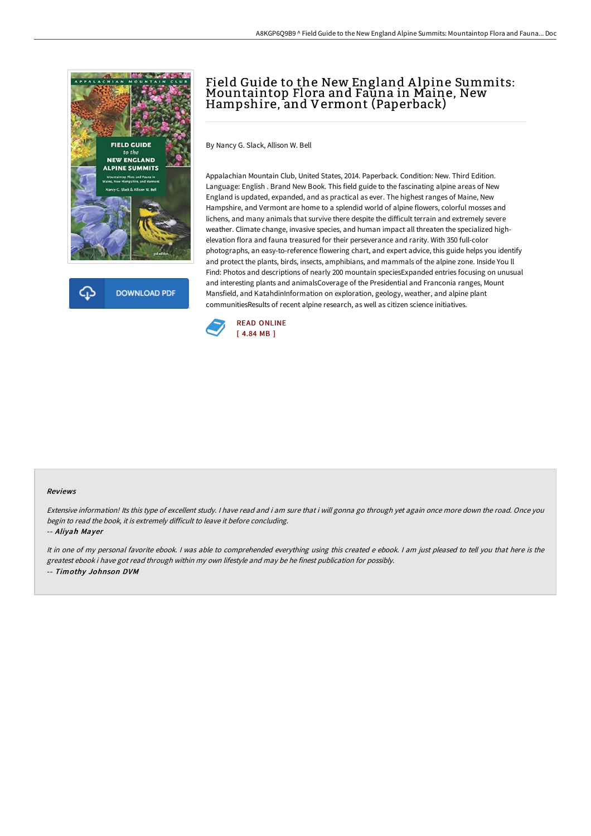



## Field Guide to the New England A lpine Summits: Mountaintop Flora and Fauna in Maine, New Hampshire, and Vermont (Paperback)

By Nancy G. Slack, Allison W. Bell

Appalachian Mountain Club, United States, 2014. Paperback. Condition: New. Third Edition. Language: English . Brand New Book. This field guide to the fascinating alpine areas of New England is updated, expanded, and as practical as ever. The highest ranges of Maine, New Hampshire, and Vermont are home to a splendid world of alpine flowers, colorful mosses and lichens, and many animals that survive there despite the difficult terrain and extremely severe weather. Climate change, invasive species, and human impact all threaten the specialized highelevation flora and fauna treasured for their perseverance and rarity. With 350 full-color photographs, an easy-to-reference flowering chart, and expert advice, this guide helps you identify and protect the plants, birds, insects, amphibians, and mammals of the alpine zone. Inside You ll Find: Photos and descriptions of nearly 200 mountain speciesExpanded entries focusing on unusual and interesting plants and animalsCoverage of the Presidential and Franconia ranges, Mount Mansfield, and KatahdinInformation on exploration, geology, weather, and alpine plant communitiesResults of recent alpine research, as well as citizen science initiatives.



## Reviews

Extensive information! Its this type of excellent study. <sup>I</sup> have read and i am sure that i will gonna go through yet again once more down the road. Once you begin to read the book, it is extremely difficult to leave it before concluding. -- Aliyah Mayer

It in one of my personal favorite ebook. <sup>I</sup> was able to comprehended everything using this created <sup>e</sup> ebook. <sup>I</sup> am just pleased to tell you that here is the greatest ebook i have got read through within my own lifestyle and may be he finest publication for possibly. -- Timothy Johnson DVM